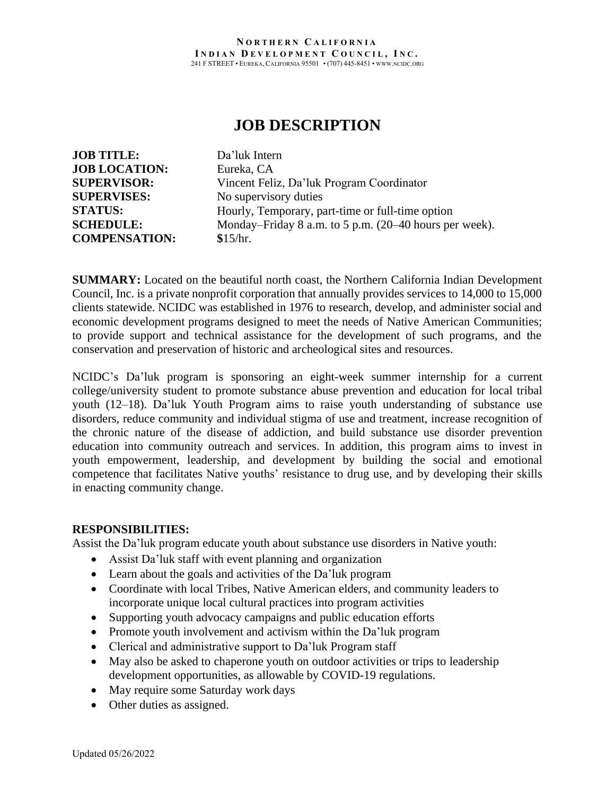#### **N O R T H E R N C A L I F O R N I A I N D I A N D E V E L O P M E N T C O U N C I L , I N C .** 241 F STREET • EUREKA, CALIFORNIA 95501 • (707) 445-8451 • WWW.NCIDC.ORG

# **JOB DESCRIPTION**

| <b>JOB TITLE:</b>    | Da'luk Intern                                          |
|----------------------|--------------------------------------------------------|
| <b>JOB LOCATION:</b> | Eureka, CA                                             |
| <b>SUPERVISOR:</b>   | Vincent Feliz, Da'luk Program Coordinator              |
| <b>SUPERVISES:</b>   | No supervisory duties                                  |
| <b>STATUS:</b>       | Hourly, Temporary, part-time or full-time option       |
| <b>SCHEDULE:</b>     | Monday-Friday 8 a.m. to 5 p.m. (20–40 hours per week). |
| <b>COMPENSATION:</b> | \$15/hr.                                               |

**SUMMARY:** Located on the beautiful north coast, the Northern California Indian Development Council, Inc. is a private nonprofit corporation that annually provides services to 14,000 to 15,000 clients statewide. NCIDC was established in 1976 to research, develop, and administer social and economic development programs designed to meet the needs of Native American Communities; to provide support and technical assistance for the development of such programs, and the conservation and preservation of historic and archeological sites and resources.

NCIDC's Da'luk program is sponsoring an eight-week summer internship for a current college/university student to promote substance abuse prevention and education for local tribal youth (12–18). Da'luk Youth Program aims to raise youth understanding of substance use disorders, reduce community and individual stigma of use and treatment, increase recognition of the chronic nature of the disease of addiction, and build substance use disorder prevention education into community outreach and services. In addition, this program aims to invest in youth empowerment, leadership, and development by building the social and emotional competence that facilitates Native youths' resistance to drug use, and by developing their skills in enacting community change.

### **RESPONSIBILITIES:**

Assist the Da'luk program educate youth about substance use disorders in Native youth:

- Assist Da'luk staff with event planning and organization
- Learn about the goals and activities of the Da'luk program
- Coordinate with local Tribes, Native American elders, and community leaders to incorporate unique local cultural practices into program activities
- Supporting youth advocacy campaigns and public education efforts
- Promote youth involvement and activism within the Da'luk program
- Clerical and administrative support to Da'luk Program staff
- May also be asked to chaperone youth on outdoor activities or trips to leadership development opportunities, as allowable by COVID-19 regulations.
- May require some Saturday work days
- Other duties as assigned.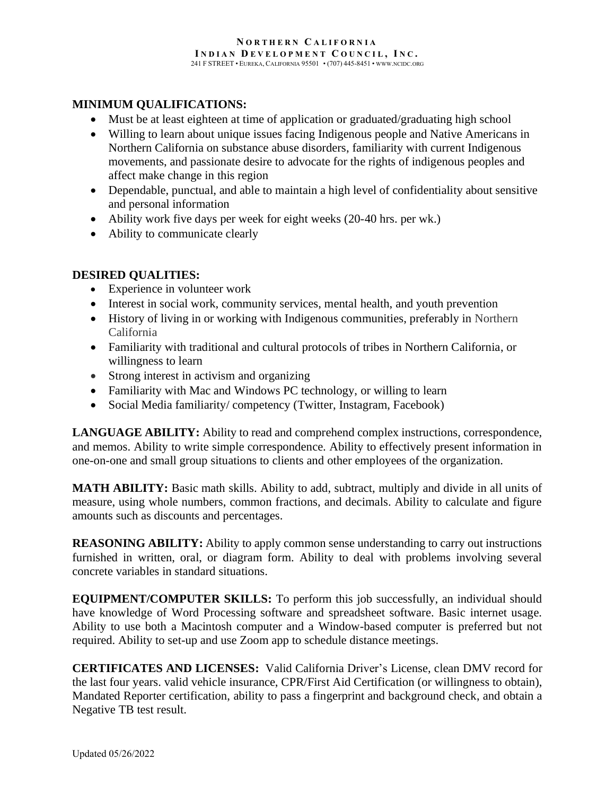#### **N O R T H E R N C A L I F O R N I A I N D I A N D E V E L O P M E N T C O U N C I L , I N C .** 241 F STREET • EUREKA, CALIFORNIA 95501 • (707) 445-8451 • WWW.NCIDC.ORG

# **MINIMUM QUALIFICATIONS:**

- Must be at least eighteen at time of application or graduated/graduating high school
- Willing to learn about unique issues facing Indigenous people and Native Americans in Northern California on substance abuse disorders, familiarity with current Indigenous movements, and passionate desire to advocate for the rights of indigenous peoples and affect make change in this region
- Dependable, punctual, and able to maintain a high level of confidentiality about sensitive and personal information
- Ability work five days per week for eight weeks (20-40 hrs. per wk.)
- Ability to communicate clearly

# **DESIRED QUALITIES:**

- Experience in volunteer work
- Interest in social work, community services, mental health, and youth prevention
- History of living in or working with Indigenous communities, preferably in Northern California
- Familiarity with traditional and cultural protocols of tribes in Northern California, or willingness to learn
- Strong interest in activism and organizing
- Familiarity with Mac and Windows PC technology, or willing to learn
- Social Media familiarity/ competency (Twitter, Instagram, Facebook)

**LANGUAGE ABILITY:** Ability to read and comprehend complex instructions, correspondence, and memos. Ability to write simple correspondence. Ability to effectively present information in one-on-one and small group situations to clients and other employees of the organization.

**MATH ABILITY:** Basic math skills. Ability to add, subtract, multiply and divide in all units of measure, using whole numbers, common fractions, and decimals. Ability to calculate and figure amounts such as discounts and percentages.

**REASONING ABILITY:** Ability to apply common sense understanding to carry out instructions furnished in written, oral, or diagram form. Ability to deal with problems involving several concrete variables in standard situations.

**EQUIPMENT/COMPUTER SKILLS:** To perform this job successfully, an individual should have knowledge of Word Processing software and spreadsheet software. Basic internet usage. Ability to use both a Macintosh computer and a Window-based computer is preferred but not required. Ability to set-up and use Zoom app to schedule distance meetings.

**CERTIFICATES AND LICENSES:** Valid California Driver's License, clean DMV record for the last four years. valid vehicle insurance, CPR/First Aid Certification (or willingness to obtain), Mandated Reporter certification, ability to pass a fingerprint and background check, and obtain a Negative TB test result.